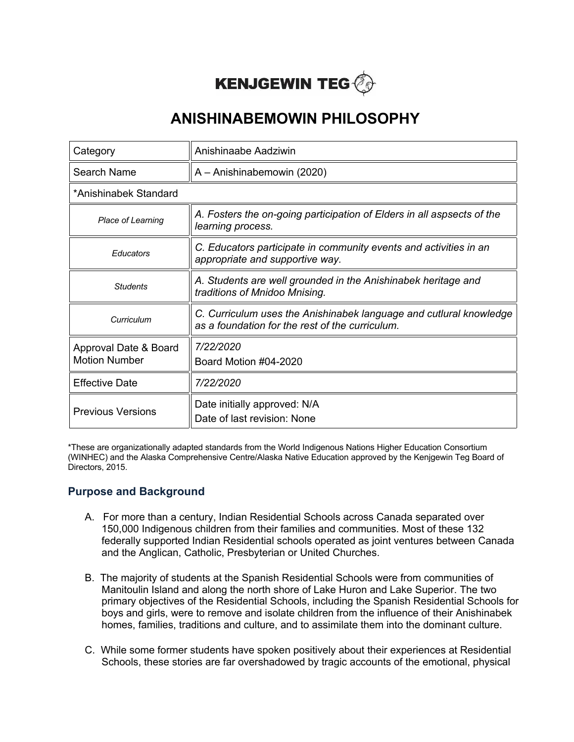# **KENJGEWIN TEG**

## **ANISHINABEMOWIN PHILOSOPHY**

| Category                                      | Anishinaabe Aadziwin                                                                                                  |  |
|-----------------------------------------------|-----------------------------------------------------------------------------------------------------------------------|--|
| Search Name                                   | A - Anishinabemowin (2020)                                                                                            |  |
| *Anishinabek Standard                         |                                                                                                                       |  |
| Place of Learning                             | A. Fosters the on-going participation of Elders in all aspsects of the<br>learning process.                           |  |
| Educators                                     | C. Educators participate in community events and activities in an<br>appropriate and supportive way.                  |  |
| <b>Students</b>                               | A. Students are well grounded in the Anishinabek heritage and<br>traditions of Mnidoo Mnising.                        |  |
| Curriculum                                    | C. Curriculum uses the Anishinabek language and cutlural knowledge<br>as a foundation for the rest of the curriculum. |  |
| Approval Date & Board<br><b>Motion Number</b> | 7/22/2020<br>Board Motion #04-2020                                                                                    |  |
| <b>Effective Date</b>                         | 7/22/2020                                                                                                             |  |
| <b>Previous Versions</b>                      | Date initially approved: N/A<br>Date of last revision: None                                                           |  |

\*These are organizationally adapted standards from the World Indigenous Nations Higher Education Consortium (WINHEC) and the Alaska Comprehensive Centre/Alaska Native Education approved by the Kenjgewin Teg Board of Directors, 2015.

#### **Purpose and Background**

- A. For more than a century, Indian Residential Schools across Canada separated over 150,000 Indigenous children from their families and communities. Most of these 132 federally supported Indian Residential schools operated as joint ventures between Canada and the Anglican, Catholic, Presbyterian or United Churches.
- B. The majority of students at the Spanish Residential Schools were from communities of Manitoulin Island and along the north shore of Lake Huron and Lake Superior. The two primary objectives of the Residential Schools, including the Spanish Residential Schools for boys and girls, were to remove and isolate children from the influence of their Anishinabek homes, families, traditions and culture, and to assimilate them into the dominant culture.
- C. While some former students have spoken positively about their experiences at Residential Schools, these stories are far overshadowed by tragic accounts of the emotional, physical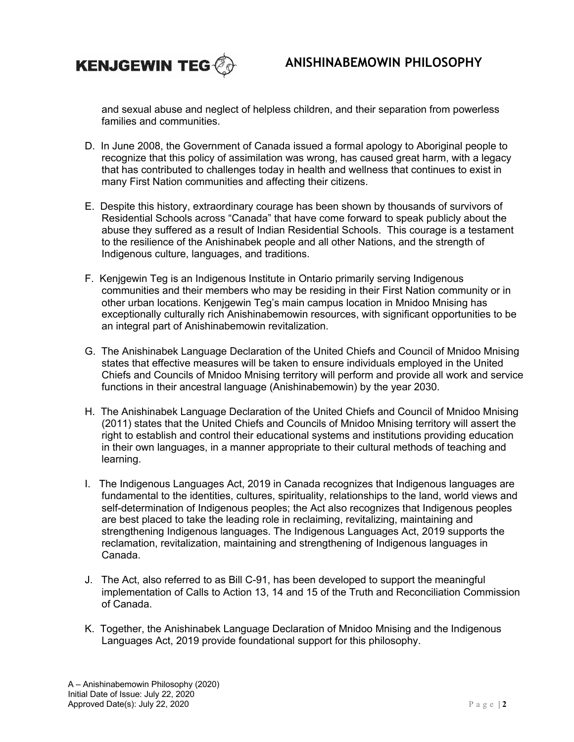

and sexual abuse and neglect of helpless children, and their separation from powerless families and communities.

- D. In June 2008, the Government of Canada issued a formal apology to Aboriginal people to recognize that this policy of assimilation was wrong, has caused great harm, with a legacy that has contributed to challenges today in health and wellness that continues to exist in many First Nation communities and affecting their citizens.
- E. Despite this history, extraordinary courage has been shown by thousands of survivors of Residential Schools across "Canada" that have come forward to speak publicly about the abuse they suffered as a result of Indian Residential Schools. This courage is a testament to the resilience of the Anishinabek people and all other Nations, and the strength of Indigenous culture, languages, and traditions.
- F. Kenjgewin Teg is an Indigenous Institute in Ontario primarily serving Indigenous communities and their members who may be residing in their First Nation community or in other urban locations. Kenjgewin Teg's main campus location in Mnidoo Mnising has exceptionally culturally rich Anishinabemowin resources, with significant opportunities to be an integral part of Anishinabemowin revitalization.
- G. The Anishinabek Language Declaration of the United Chiefs and Council of Mnidoo Mnising states that effective measures will be taken to ensure individuals employed in the United Chiefs and Councils of Mnidoo Mnising territory will perform and provide all work and service functions in their ancestral language (Anishinabemowin) by the year 2030.
- H. The Anishinabek Language Declaration of the United Chiefs and Council of Mnidoo Mnising (2011) states that the United Chiefs and Councils of Mnidoo Mnising territory will assert the right to establish and control their educational systems and institutions providing education in their own languages, in a manner appropriate to their cultural methods of teaching and learning.
- I. The Indigenous Languages Act, 2019 in Canada recognizes that Indigenous languages are fundamental to the identities, cultures, spirituality, relationships to the land, world views and self-determination of Indigenous peoples; the Act also recognizes that Indigenous peoples are best placed to take the leading role in reclaiming, revitalizing, maintaining and strengthening Indigenous languages. The Indigenous Languages Act, 2019 supports the reclamation, revitalization, maintaining and strengthening of Indigenous languages in Canada.
- J. The Act, also referred to as Bill C-91, has been developed to support the meaningful implementation of Calls to Action 13, 14 and 15 of the Truth and Reconciliation Commission of Canada.
- K. Together, the Anishinabek Language Declaration of Mnidoo Mnising and the Indigenous Languages Act, 2019 provide foundational support for this philosophy.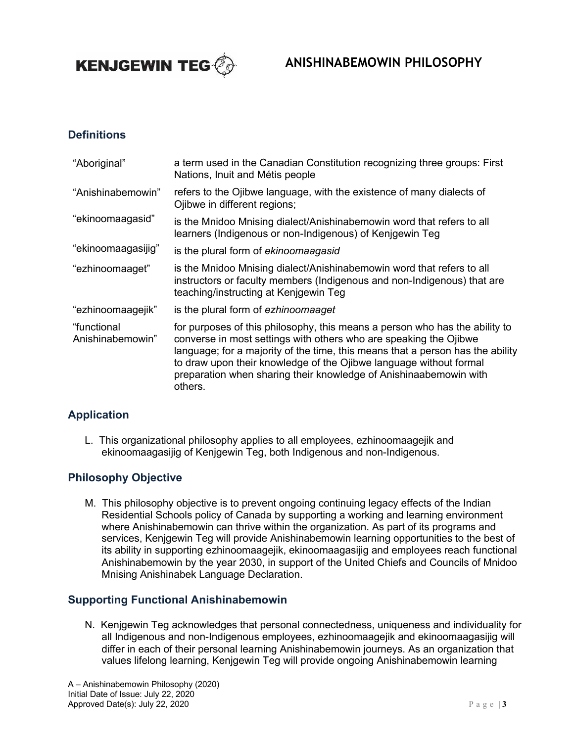

### **ANISHINABEMOWIN PHILOSOPHY**

#### **Definitions**

| "Aboriginal"                    | a term used in the Canadian Constitution recognizing three groups: First<br>Nations, Inuit and Métis people                                                                                                                                                                                                                                                                              |
|---------------------------------|------------------------------------------------------------------------------------------------------------------------------------------------------------------------------------------------------------------------------------------------------------------------------------------------------------------------------------------------------------------------------------------|
| "Anishinabemowin"               | refers to the Ojibwe language, with the existence of many dialects of<br>Ojibwe in different regions;                                                                                                                                                                                                                                                                                    |
| "ekinoomaagasid"                | is the Mnidoo Mnising dialect/Anishinabemowin word that refers to all<br>learners (Indigenous or non-Indigenous) of Kenigewin Teg                                                                                                                                                                                                                                                        |
| "ekinoomaagasijig"              | is the plural form of ekinoomaagasid                                                                                                                                                                                                                                                                                                                                                     |
| "ezhinoomaaget"                 | is the Mnidoo Mnising dialect/Anishinabemowin word that refers to all<br>instructors or faculty members (Indigenous and non-Indigenous) that are<br>teaching/instructing at Kenigewin Teg                                                                                                                                                                                                |
| "ezhinoomaagejik"               | is the plural form of ezhinoomaaget                                                                                                                                                                                                                                                                                                                                                      |
| "functional<br>Anishinabemowin" | for purposes of this philosophy, this means a person who has the ability to<br>converse in most settings with others who are speaking the Ojibwe<br>language; for a majority of the time, this means that a person has the ability<br>to draw upon their knowledge of the Ojibwe language without formal<br>preparation when sharing their knowledge of Anishinaabemowin with<br>others. |

#### **Application**

L. This organizational philosophy applies to all employees, ezhinoomaagejik and ekinoomaagasijig of Kenjgewin Teg, both Indigenous and non-Indigenous.

#### **Philosophy Objective**

M. This philosophy objective is to prevent ongoing continuing legacy effects of the Indian Residential Schools policy of Canada by supporting a working and learning environment where Anishinabemowin can thrive within the organization. As part of its programs and services, Kenjgewin Teg will provide Anishinabemowin learning opportunities to the best of its ability in supporting ezhinoomaagejik, ekinoomaagasijig and employees reach functional Anishinabemowin by the year 2030, in support of the United Chiefs and Councils of Mnidoo Mnising Anishinabek Language Declaration.

#### **Supporting Functional Anishinabemowin**

N. Kenjgewin Teg acknowledges that personal connectedness, uniqueness and individuality for all Indigenous and non-Indigenous employees, ezhinoomaagejik and ekinoomaagasijig will differ in each of their personal learning Anishinabemowin journeys. As an organization that values lifelong learning, Kenjgewin Teg will provide ongoing Anishinabemowin learning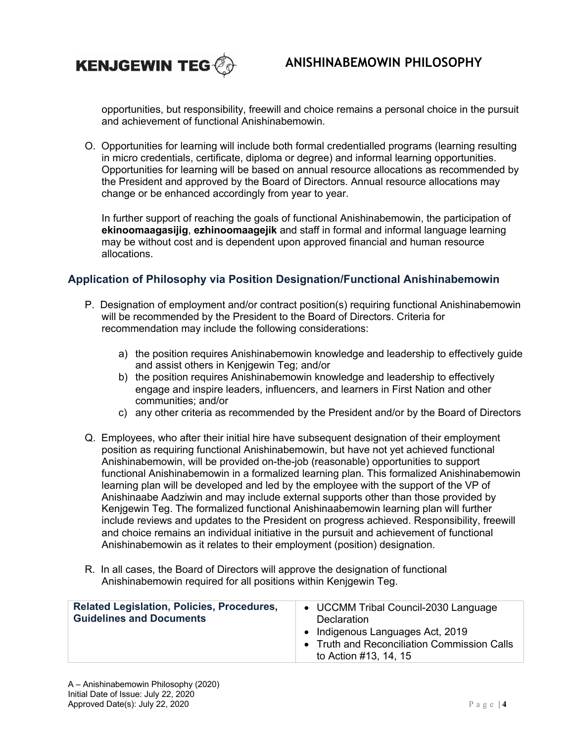

opportunities, but responsibility, freewill and choice remains a personal choice in the pursuit and achievement of functional Anishinabemowin.

O. Opportunities for learning will include both formal credentialled programs (learning resulting in micro credentials, certificate, diploma or degree) and informal learning opportunities. Opportunities for learning will be based on annual resource allocations as recommended by the President and approved by the Board of Directors. Annual resource allocations may change or be enhanced accordingly from year to year.

In further support of reaching the goals of functional Anishinabemowin, the participation of **ekinoomaagasijig**, **ezhinoomaagejik** and staff in formal and informal language learning may be without cost and is dependent upon approved financial and human resource allocations.

#### **Application of Philosophy via Position Designation/Functional Anishinabemowin**

- P. Designation of employment and/or contract position(s) requiring functional Anishinabemowin will be recommended by the President to the Board of Directors. Criteria for recommendation may include the following considerations:
	- a) the position requires Anishinabemowin knowledge and leadership to effectively guide and assist others in Kenjgewin Teg; and/or
	- b) the position requires Anishinabemowin knowledge and leadership to effectively engage and inspire leaders, influencers, and learners in First Nation and other communities; and/or
	- c) any other criteria as recommended by the President and/or by the Board of Directors
- Q. Employees, who after their initial hire have subsequent designation of their employment position as requiring functional Anishinabemowin, but have not yet achieved functional Anishinabemowin, will be provided on-the-job (reasonable) opportunities to support functional Anishinabemowin in a formalized learning plan. This formalized Anishinabemowin learning plan will be developed and led by the employee with the support of the VP of Anishinaabe Aadziwin and may include external supports other than those provided by Kenjgewin Teg. The formalized functional Anishinaabemowin learning plan will further include reviews and updates to the President on progress achieved. Responsibility, freewill and choice remains an individual initiative in the pursuit and achievement of functional Anishinabemowin as it relates to their employment (position) designation.
- R. In all cases, the Board of Directors will approve the designation of functional Anishinabemowin required for all positions within Kenjgewin Teg.

| <b>Related Legislation, Policies, Procedures,</b><br><b>Guidelines and Documents</b> | • UCCMM Tribal Council-2030 Language<br><b>Declaration</b><br>• Indigenous Languages Act, 2019<br>• Truth and Reconciliation Commission Calls<br>to Action #13, 14, 15 |
|--------------------------------------------------------------------------------------|------------------------------------------------------------------------------------------------------------------------------------------------------------------------|
|--------------------------------------------------------------------------------------|------------------------------------------------------------------------------------------------------------------------------------------------------------------------|